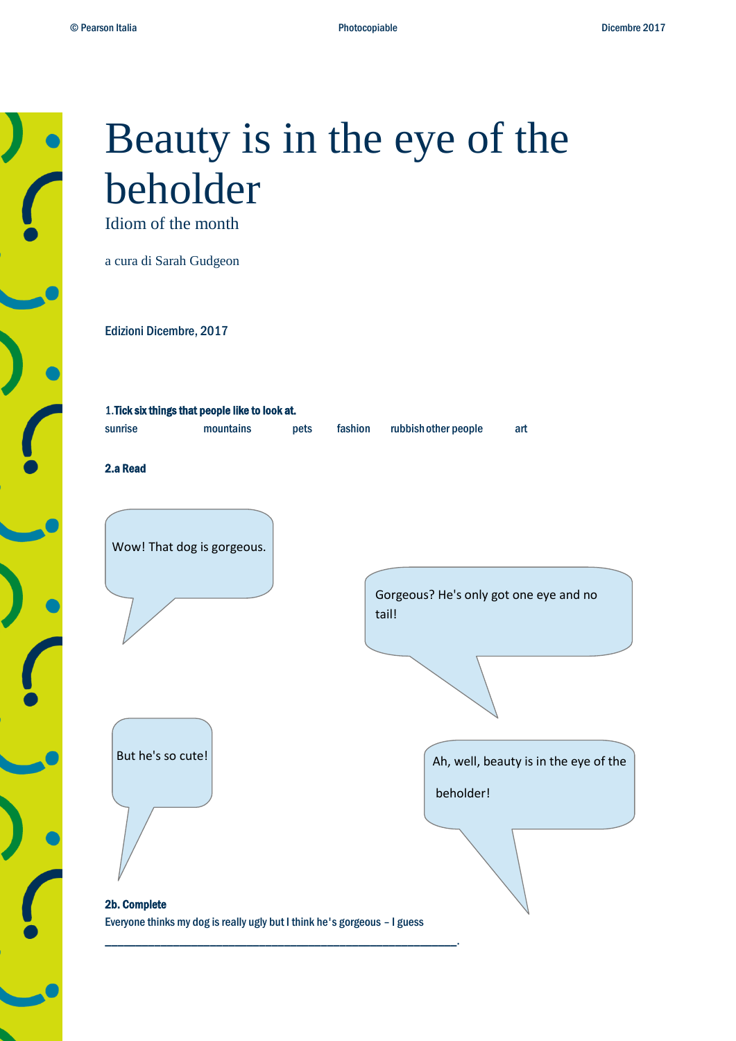

# Beauty is in the eye of the beholder

Idiom of the month

a cura di Sarah Gudgeon

Edizioni Dicembre, 2017

| 1. Tick six things that people like to look at. |           |      |         |                      |     |
|-------------------------------------------------|-----------|------|---------|----------------------|-----|
| sunrise                                         | mountains | pets | fashion | rubbish other people | art |
|                                                 |           |      |         |                      |     |
| 2.a Read                                        |           |      |         |                      |     |

Wow! That dog is gorgeous.

Gorgeous? He's only got one eye and no tail!

But he's so cute!

Ah, well, beauty is in the eye of the

beholder!

2b. Complete Everyone thinks my dog is really ugly but I think he's gorgeous – I guess

\_\_\_\_\_\_\_\_\_\_\_\_\_\_\_\_\_\_\_\_\_\_\_\_\_\_\_\_\_\_\_\_\_\_\_\_\_\_\_\_\_\_\_\_\_\_\_\_\_\_\_\_\_\_\_\_\_.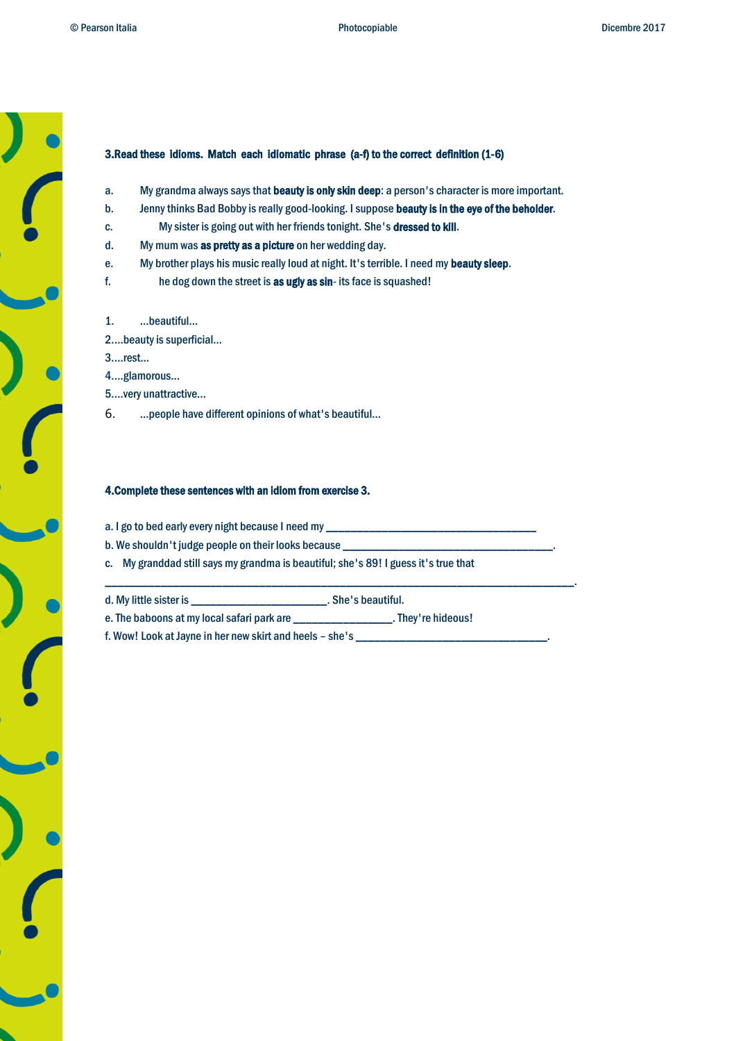## 3.Read these idioms. Match each idiomatic phrase (a-f) to the correct definition (1-6)

- a. My grandma always says that beauty is only skin deep: a person's character is more important.
- b. Jenny thinks Bad Bobby is really good-looking. I suppose beauty is in the eye of the beholder.
- c. My sister is going out with her friends tonight. She's dressed to kill.
- d. My mum was as pretty as a picture on her wedding day.
- e. My brother plays his music really loud at night. It's terrible. I need my beauty sleep.
- f. he dog down the street is as ugly as sin- its face is squashed!
- 1. ...beautiful...
- 2....beauty is superficial...
- 3....rest...
- 4....glamorous...
- 5....very unattractive...
- 6. ...people have different opinions of what's beautiful...

### 4.Complete these sentences with an idiom from exercise 3.

- a. I go to bed early every night because I need my \_\_
- b. We shouldn't judge people on their looks because
- c. My granddad still says my grandma is beautiful; she's 89! I guess it's true that

| d. My little sister is                     | . She's beautiful. |
|--------------------------------------------|--------------------|
| e. The baboons at my local safari park are | . They're hideous! |

\_\_\_\_\_\_\_\_\_\_\_\_\_\_\_\_\_\_\_\_\_\_\_\_\_\_\_\_\_\_\_\_\_\_\_\_\_\_\_\_\_\_\_\_\_\_\_\_\_\_\_\_\_\_\_\_\_\_\_\_\_\_\_\_\_\_\_\_\_\_\_\_\_\_\_\_.

f. Wow! Look at Jayne in her new skirt and heels - she's \_\_\_\_\_\_